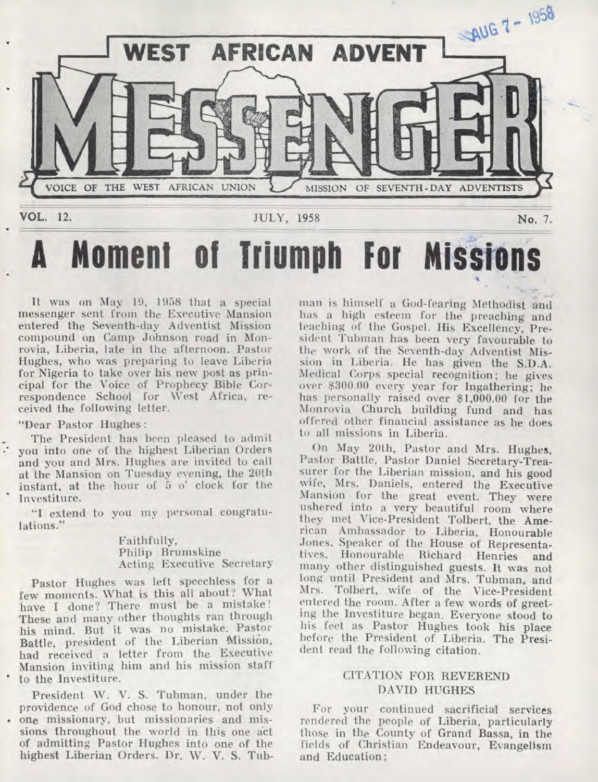

# **A Moment of Triumph For Missions**

It was on May 19, 1958 that a special messenger sent from the Executive Mansion entered the Seventh-day Adventist Mission compound on Camp Johnson road in Monrovia, Liberia, late in the afternoon. Pastor Hughes, who was preparing to leave Liberia for Nigeria to take over his new post as principal for the Voice of Prophecy Bible Correspondence School for West Africa, received the following letter.

"Dear Pastor Hughes :

The President has been pleased to admit you into one of the highest Liberian Orders and you and Mrs. Hughes are invited to call at the Mansion on Tuesday evening, the 20th instant, at the hour of 5 o' clock for the Investiture.

"I extend to you my personal congratulations."

> Faithfully, Philip Brumskine Acting Executive Secretary

Pastor Hughes was left speechless for a few moments. What is this all about? What have I done? There must be a mistake! These and many other thoughts ran through his mind. But it was no mistake. Pastor Battle, president of the Liberian Mission, had received a letter from the Executive Mansion inviting him and his mission staff to the Investiture.

President W. V. S. Tubman, under the providence of God chose to honour, not only • one missionary, but missionaries and missions throughout the world in this one act of admitting Pastor Hughes into one of the highest Liberian Orders. Dr. W. V. S. Tubman is himself a God-fearing Methodist and has a high esteem for the preaching and teaching of the Gospel. His Excellency, President Tubman has been very favourable to the work of the Seventh-day Adventist Mission in Liberia. He has given the S.D.A. Medical Corps special recognition; he gives over \$300.00 every year for Ingathering; he has personally raised over \$1,000.00 for the Monrovia Church building fund and has offered other financial assistance as he does to all missions in Liberia.

On May 20th, Pastor and Mrs. Hughes, Pastor Battle, Pastor Daniel Secretary-Treasurer for the Liberian mission, and his good wife, Mrs. Daniels, entered the Executive Mansion for the great event. They were ushered into a very beautiful room where they met Vice-President Tolbert, the American Ambassador to Liberia, Honourable Jones, Speaker of the House of Representatives, Honourable Richard Henries and many other distinguished guests. It was not long until President and Mrs. Tubman, and Mrs. Tolbert, wife of the Vice-President entered the room. After a few words of greeting the Investiture began. Everyone stood to his feet as Pastor Hughes took his place before the President of Liberia. The President read the following citation.

#### CITATION FOR REVEREND DAVID HUGHES

For your continued sacrificial services rendered the people of Liberia, particularly those in the County of Grand Bassa, in the fields of Christian Endeavour, Evangelism and Education;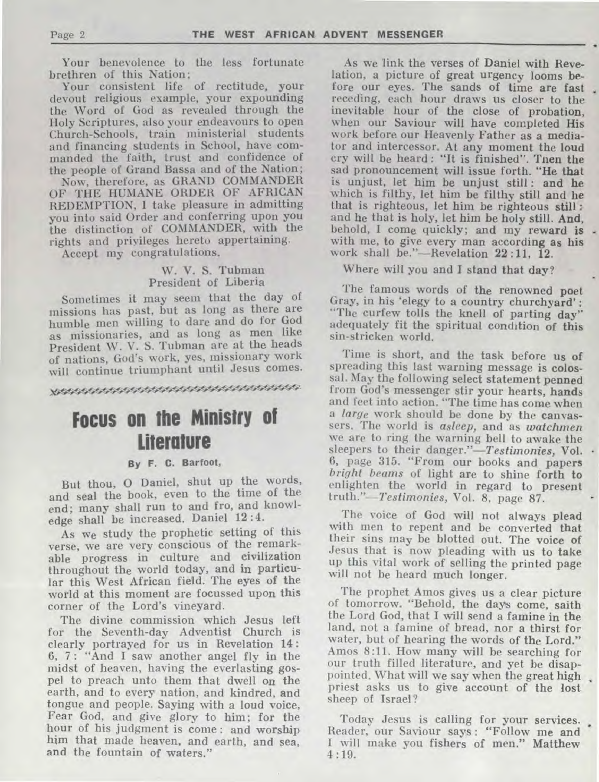Your benevolence to the less fortunate brethren of this Nation;

Your consistent life of rectitude, your devout religious example, your expounding the Word of God as revealed through the Holy Scriptures, also your endeavours to open Church-Schools, train ministerial students and financing students in School, have commanded the faith, trust and confidence of the people of Grand Bassa and of the Nation;

Now, therefore, as GRAND COMMANDER OF THE HUMANE ORDER OF AFRICAN REDEMPTION, I take pleasure in admitting you into said Order and conferring upon you the distinction of COMMANDER, with the rights and privileges hereto appertaining.

Accept my congratulations.

#### W. V. S. Tubman President of Liberia

Sometimes it may seem that the day of missions has past, but as long as there are humble men willing to dare and do for God as missionaries, and as long as men like President W. V. S. Tubman are at the heads of nations, God's work, yes, missionary work will continue triumphant until Jesus comes.

## **Focus on the Ministry of Literature**

#### **By F. D. Barfoot,**

But thou, 0 Daniel, shut up the words, and seal the book, even to the time of the end; many shall run to and fro, and knowledge shall be increased. Daniel 12 :4.

As we study the prophetic setting of this verse, we are very conscious of the remarkable progress in culture and civilization throughout the world today, and in particular this West African field. The eyes of the world at this moment are focussed upon this corner of the Lord's vineyard.

The divine commission which Jesus left for the Seventh-day Adventist Church is clearly portrayed for us in Revelation 14: 6, 7: "And I saw another angel fly in the midst of heaven, having the everlasting gospel to preach unto them that dwell on the earth, and to every nation, and kindred, and tongue and people. Saying with a loud voice, Fear God, and give glory to him; for the hour of his judgment is come : and worship him that made heaven, and earth, and sea, and the fountain of waters."

As we link the verses of Daniel with Revelation, a picture of great urgency looms *before* our eyes. The sands of time are fast receding, each hour draws us closer to the inevitable hour of the close of probation, when our Saviour will have completed His work before our Heavenly Father as a mediator and intercessor. At any moment the loud cry will be heard : "It is finished". Tnen the sad pronouncement will issue forth. "He **that**  is unjust, let him be unjust still: **and he**  which is filthy, let him be filthy still and *he*  that is righteous, let him be righteous still : and he that is holy, let him *be* holy still. **And,**  behold, I come quickly; and my reward is. with me, to give every man according as his work shall be."—Revelation 22 :11, 12.

Where will you and I stand that day?

The famous words of the renowned **poet**  Gray, in his 'elegy to a country churchyard' : "The curfew tolls the knell of parting day" adequately fit the spiritual condition of this sin-stricken world.

Time is short, and the task before us of spreading this last warning message is **colossal.** May the following select statement **penned**  from God's messenger stir your hearts, **hands**  and feet into action. "The time has come when a *large* work should be done by the canvassers. The world is *asleep,* and as *watchmen*  we are to ring the warning bell to awake the sleepers to their danger."-Testimonies, Vol. 6, page 315. "From our books and papers *bright beams* of light are to shine forth to enlighten the world in regard to present *truth."—Testimonies,* Vol. 8, page 87.

The voice of God will not always **plead**  with men to repent and be converted **that**  their sins may be blotted out. The voice of Jesus that is now pleading with us to **take**  up this vital work of selling the printed page will not be heard much longer.

The prophet Amos gives us a clear picture of tomorrow. "Behold, the days come, saith the Lord God, that I will send a famine in the land, not a famine of bread, nor a thirst for water, but of hearing the words of the Lord." Amos 8:11. How many will be searching for our truth filled literature, and yet be disappointed. What will we say when the great high priest asks us to give account of the lost sheep of Israel?

Today Jesus is calling for your services. Reader, our Saviour says : "Follow me and I will make you fishers of men." Matthew 4:19.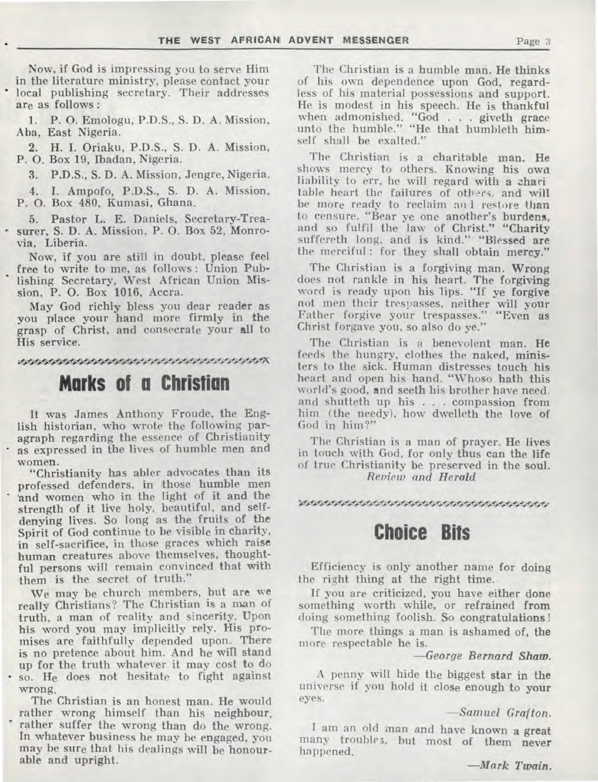Now, if God is impressing you to serve Him in the literature ministry, please contact your local publishing secretary. Their addresses are as follows :

1. P. 0. Emologu, P.D.S., S. D. A. Mission, Aba, East Nigeria.

2. H. **I.** Oriaku, P.D.S., S. D. A. Mission, P. 0. Box 19, Ibadan, Nigeria.

3. P.D.S., S. D. A. Mission, Jengre, Nigeria.

**4. I.** Ampofo, P.D.S., S. D. A. Mission, P. 0. Box 480, Kumasi, Ghana.

Pastor L. E. Daniels, Secretary-Treasurer, S. D. A. Mission, P. 0. Box 52, Monrovia, Liberia.

Now, if you are still in doubt, please feel free to write to me, as follows : Union Publishing Secretary, West African Union Mission, P. **0.** Box 1016, Accra.

May God richly bless you dear reader as you place your hand more firmly in the grasp of Christ, and consecrate your all to His service.

\*\*\*\*\*\*\*\*\*\*\*\*\*\*\*\*\*\*\*\*\*\*\*\*\*\*\*\*\*\*\*\*\*\*\*\*\*

## **Marks of a Christian**

It was James Anthony Froude, the English historian, who wrote the following paragraph regarding the essence of Christianity as expressed in the lives of humble men and women.

"Christianity has abler advocates than its professed defenders, in those humble men 'and women who in the light of it and the strength of it live holy, beautiful, and selfdenying lives. So long as the fruits of the Spirit of God continue to be visible in charity, in self-sacrifice, in those graces which raise human creatures above themselves, thoughtful persons will remain convinced that with them is the secret of truth."

We may be church members, but are we really Christians? The Christian is a man of truth, a man of reality and sincerity. Upon his word you may implicitly rely. His promises are faithfully depended upon. There is no pretence about him. And he will stand up for the truth whatever it may cost to do • so. He does not hesitate to fight against wrong.

The Christian is an honest man. He would rather wrong himself than his neighbour, rather suffer the wrong than do the wrong. In whatever business he may be engaged, you may be sure that his dealings will be honourable and **upright.** 

The Christian is a humble man. He thinks of his own dependence upon God, regardless of his material possessions and support. He is modest in his speech. He is thankful when admonished. "God . . . giveth grace unto the humble." "He that humbleth himself shall be exalted."

The Christian is a charitable man. He shows mercy to others. Knowing his owa liability to err, he will regard with a zhari table heart the failures of others, and will be more ready to reclaim an I restore than to censure. "Bear ye one another's burdens, and so fulfil the law of Christ." "Charity suffereth long, and is kind." "Blessed are the merciful : for they shall obtain mercy."

The Christian is a forgiving man. Wrong does not rankle in his heart. The forgiving word is ready upon his lips. "If ye forgive not men their trespasses, neither will your Father forgive your trespasses." "Even as Christ forgave you, so also do ye."

The Christian is a benevolent man. He feeds the hungry, clothes the naked, ministers to the sick. Human distresses touch his heart and open his hand. "Whoso hath this world's good, and seeth his brother have need, and shutteth up his . . . compassion from him (the needy), how dwelleth the love of God in him?"

The Christian is a man of prayer. He lives in touch with God, for only thus can the life of true Christianity be preserved in the soul. *Review and Herald* 

#### \*\*\*\*\*\*\*\*\*\*\*\*\*\*\*\*\*\*\*\*\*\*\*\*\*\*\*\*\*\*\*\*\*\*\*\*\*\*

### **Choice Bits**

Efficiency is only another name for doing the right thing at the right time.

If you are criticized, you have either done something worth while, or refrained **from**  doing something foolish. So congratulations!

The more things a man is ashamed of, the more respectable he is.

*—George Bernard Shaw.* 

A penny will hide the biggest **star in** the universe if you hold it close enough to your eyes.

*—Samuel Grafton.* 

I am an old man and have known a great many troubles, but most of them never happened.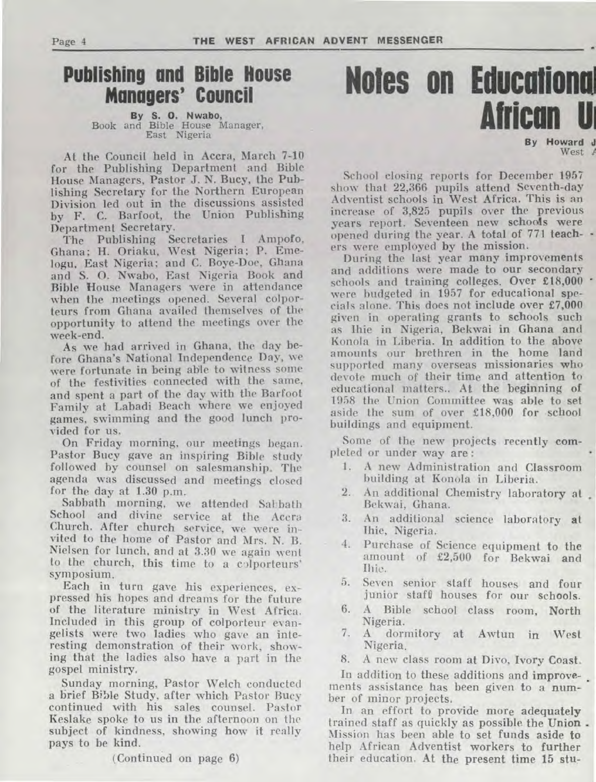## **Publishing and Bible House Managers' Council**

### **By S. 0. Nwabo,**  Book and Bible House Manager, East Nigeria

At the Council held in Accra, March 7-10 for the Publishing Department and Bible House Managers, Pastor J. N. Bucy, the Publishing Secretary for the Northern European Division led out in the discussions assisted by F. C. Barfoot, the Union Publishing Department Secretary.

The Publishing Secretaries I Ampofo, Ghana; H. Oriaku, West Nigeria; P. Emelogu, East Nigeria; and C. Boye-Doe, Ghana and S. 0. Nwabo, East Nigeria Book and Bible House Managers were in attendance when the meetings opened. Several colporteurs from Ghana availed themselves of the opportunity to attend the meetings over the week-end.

As we had arrived in Ghana, the day before Ghana's National Independence Day, we were fortunate in being able to witness some of the festivities connected with the same, and spent a part of the day with the Barfoot Family at Labadi Beach where we enjoyed games, swimming and the good lunch provided for us.

On Friday morning, our meetings began. Pastor Bucy gave an inspiring Bible study followed by counsel on salesmanship. The agenda was discussed and meetings closed for the day at 1.30 p.m.

Sabbath morning, we attended Sabbath School and divine service at the Accra Church. After church service, we were invited to the home of Pastor and Mrs. N. B. Nielsen for lunch, and at 3.30 we again went to the church, this time to a colporteurs' symposium.

Each in turn gave his experiences, expressed his hopes and dreams for the future of the literature ministry in West Africa. Included in this group of colporteur evangelists were two ladies who *gave an interesting* demonstration of their work, showing that the ladies also have a part in the gospel ministry.

Sunday morning, Pastor Welch conducted a brief Bible Study, after which Pastor Bucy continued with his sales counsel. Pastor Keslake spoke to us in the afternoon on the subject of kindness, showing how it really pays to be kind.

(Continued on page 6)

# **Notes on Educational African**

**Howard J** West  $\neq$ 

School closing reports for December 1957 show that 22,366 pupils attend Seventh-day Adventist schools in West Africa. This is an increase of 3,825 pupils over **the** previous opened during the year. A total of *771 teach*years report. Seventeen new schools **were**  *ers* were employed by the mission.

During the last year many improvements and additions were made to our secondary schools and training colleges. Over £18,000 were budgeted in 1957 for educational *specials* alone. This does not include over £7,000 given in operating grants to schools such as Ihie in Nigeria, Bekwai in Ghana and Konola in Liberia. In addition to the above amounts our brethren in the home land supported many overseas missionaries who devote much of their time and attention to educational matters.. At the beginning of 1958 the Union Committee was able to set aside the sum of over £18,000 for school buildings and equipment.

Some of the new projects recently completed or under way are :

- 1. A new Administration and Classroom building at Konola in Liberia.
- 2. An additional Chemistry laboratory at Bekwai, Ghana.
- 3. An additional science **laboratory at**  Ihie, Nigeria.
- 4. Purchase of Science equipment **to the**  amount of £2,500 for Bekwai and<br>Ihie.
- 5. Seven senior staff houses and four junior staff houses for our schools.
- 6. A Bible school class room, North Nigeria.
- 7. A dormitory at Awtun **in West**  Nigeria.

8. A new class room at Divo, Ivory Coast.

In addition to these additions **and improvements assistance** has been given to a number of minor projects.

In an effort to provide more **adequately**  trained staff as quickly as possible the Union . Mission has been able to set funds aside **to**  help African Adventist workers **to further their education. At the present time 15 stu-**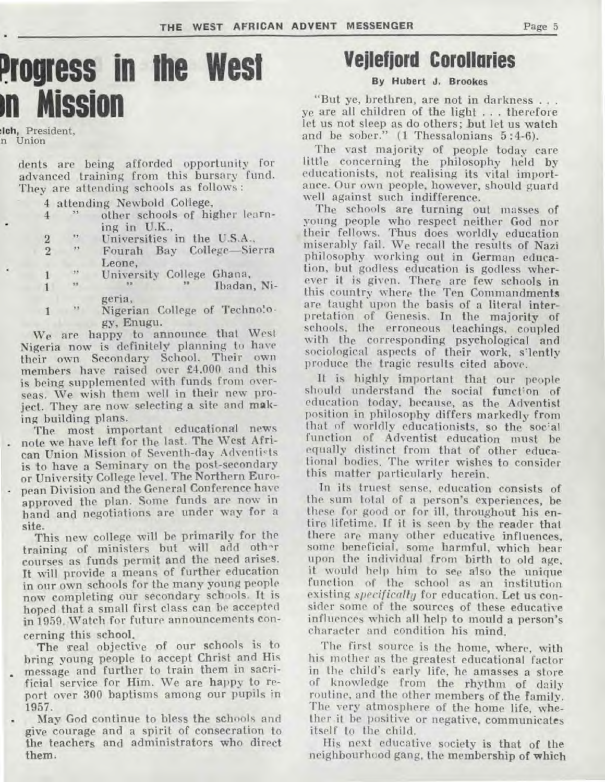## **Progress in the West in Mission**

**:loh,** President. n Union

> dents are being afforded opportunity for advanced training from this bursary fund. They are attending schools as follows :

4 attending Newbold College,

- 4 " other schools of higher learning in U.K.,
	- **Universities** in the U.S.A.,
- $\begin{array}{ccc} 2 & \cdots \\ 2 & \cdots \end{array}$ 2 Fourah Bay College—Sierra Leone,
	- *f* University College Ghana,
- 1 **ff ff ff** University College Ghana, Nigeria,
- 1 **b v** Nigerian College of Techno!ogy, Enugu.

We are happy to announce that West Nigeria now is definitely planning to have their own Secondary School. Their own members have raised over £4.000 and this is being supplemented with funds from overseas. We wish them well in their new project. They are now selecting a site and making building plans.

The most important educational news . note we have left for the last. The West African Union Mission of Seventh-day Adventists is to have a Seminary on the post-secondary or University College level. The Northern Euro- • pean Division and the General Conference have approved the plan. Some funds are now in hand and negotiations are under way for a site.

This new college will be primarily for the training of ministers but will add oth^r courses as funds permit and the need arises. It will provide a means of further education in our own schools for the many young people now completing our secondary schools. It is hoped that a small first class can be accepted in 1959. Watch for future announcements concerning this school.

The real objective of our schools is to bring young people to accept Christ and His message and further to train them in sacri-

- ficial service for Him. We are happy to report over 300 baptisms among our pupils in 1957.
- May God continue to bless the schools and give courage and a spirit of consecration to the teachers and administrators who direct **them,**

## **Vejlefjord Corollaries**

#### **By Hubert J. Brookes**

"But ye, brethren, are not in darkness . . . ye are all children of the light . . . therefore let us not sleep as do others; but let us watch and be sober." (1 Thessalonians 5 :4-6).

The vast majority of people today care little concerning the philosophy held by educationists, not realising its vital importance. Our own people, however, should guard well against such indifference.

The schools are turning out masses of young people who respect neither God nor their fellows. Thus does worldly education miserably fail. We recall the results of Nazi philosophy working out in German education, but godless education is godless wherever it is given. There are few schools in this **country** where the Ten Commandments are taught upon the basis of a literal interpretation of Genesis. In the majority of schools, the erroneous teachings, coupled with the corresponding psychological and sociological aspects of their work, s'lently produce the tragic results cited above.

It is highly important that our people should understand the social function of education today, because, as the Adventist position in philosophy differs markedly from that of worldly educationists, so **the** socal function of Adventist education must be equally distinct from that of other educational bodies. The writer wishes to consider this matter particularly herein.

In its truest sense, education consists of the sum total of a person's experiences, be these for good or for ill, throughout his entire lifetime. If it is seen by the reader that there are many other educative influences, some beneficial, some harmful, which hear upon the individual from birth to old age, it would help him to see also the unique function of the school as an institution existing *specifically* for education. Let us consider some of the sources of these educative influences which all help to mould a person's character and condition his mind.

The first source is the home, where, with his mother as the greatest educational factor in the child's early life, he amasses a store of knowledge from the rhythm of daily routine, and the other members of the family. The very atmosphere of the home life, whether it be positive or negative, communicates itself to the child.

His next educative society is that of the neighbourhood gang, the **membership of which**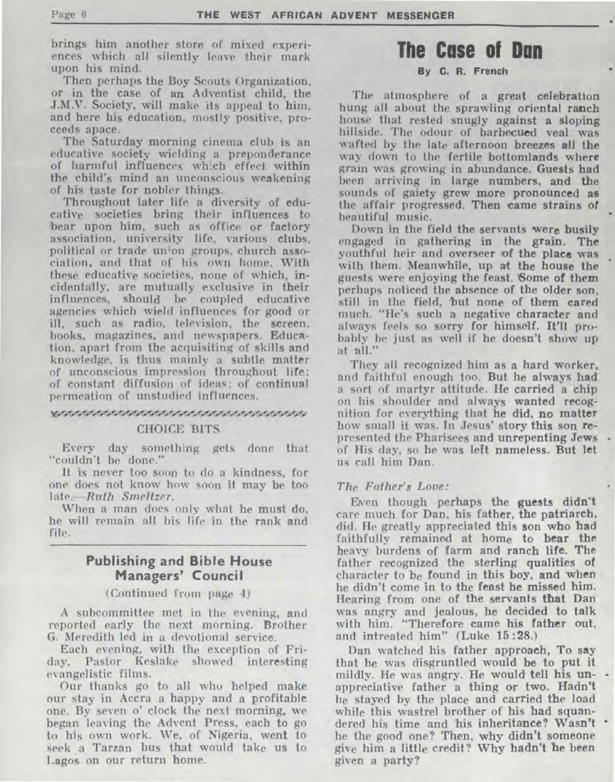**brings him another store of mixed experiences which all silently leave their mark upon his mind.** 

**Then perhaps the Boy Scouts Organization, or in the case of an Adventist child, the J.M.V. Society, will make its appeal to him, and here his education, mostly positive, proceeds apace.** 

**The Saturday morning cinema club is an educative society wielding a preponderance of harmful influences which effect within the child's mind an unconscious weakening of his taste for nobler things.** 

**Throughout later life a diversity of educative societies bring their influences to bear upon him, such as office or factory association, university life, various clubs, political or trade un;on groups, church association, and that of his own home. With these educative societies, none of which, incidentally, are mutually exclusive in their influences, should be coupled educative agencies which wield influences for good or ill, such as radio, television, the screen, books, magazines, and newspapers. Education, apart from the acquisiting of skills and knowledge, is thus mainly a subtle matter of unconscious impression throughout life: of constant diffusion of ideas: of continual permeation of unstudied influences.** 

#### ,,,,,,,,,,,,,,,,,,,,,,,,,,,,,,,,,,,,,, **CHOICE BITS**

**Every day something gets done that "couldn't be done."** 

**It is never too soon to do a kindness, for one does not know how soon it may be too l***ate.—Ruth Smeltzer.* 

**When a man does only what he must do, he will remain all his life in the rank and file.** 

#### **Publishing and Bible House Managers' Council**

#### **(Continued from page 4)**

**A subcommittee met in the evening, and reported early the next morning. Brother G. Meredith led in a devotional service.** 

**Each evening, with the exception of Friday, Pastor Keslake showed interesting evangelistic films.** 

**Our thanks go to all who helped make our stay in Accra a happy and a profitable one. By seven o' clock the next morning, we began leaving the Advent Press, each to go to his own work. We, of Nigeria, went to seek a Tarzan bus that would take us to Lagos on our return home.** 

## **The Case of Dan**

#### **By C. R.** French

**The** atmosphere **of a great celebration hung all about the sprawling oriental ranch house that rested snugly against a sloping hillside. The odour of barbecued veal was wafted by the late afternoon breezes all the way down to the fertile bottomlands where grain was growing in abundance. Guests had been arriving in large numbers, and the sounds of gaiety grew more pronounced as the affair progressed. Then came strains of beautiful music.** 

**Down in the field the servants were busily engaged in gathering in the grain. The youthful heir and overseer** tof **the place was with them. Meanwhile, up at the house the guests were enjoying the feast. Some of them perhaps noticed the absence of the older son, still in the field, but none of them cared much. "He's such a negative character and always feels so sorry for himself. It'll probably be just as well if he doesn't show up at all."** 

**They all recognized him as a hard worker, and faithful enough too. But he always had**  a **sort of martyr attitude. He carried a chip on his shoulder and always wanted recognition for everything that he did, no matter how small it was. In Jesus' story this son represented the Pharisees and unrepenting Jews**  of **His day, so he was left nameless. But let us call him Dan.** 

#### *The Father's Love:*

**Eiven though perhaps the guests didn't care much for Dan, his father, the patriarch, did. He greatly appreciated this son who had faithfully remained at home to bear the heavy burdens of farm and ranch life. The father recognized the sterling qualities of character to be found in this boy, and when he didn't come in to the feast he missed him. Hearing from one of the servants that Dan was angry and jealous, he decided to talk with him. "Therefore came his father out, and intreated him" (Luke 15 :28.)** 

**Dan watched his father approach, To say that he was disgruntled would be to put it mildly. He was angry. He would tell his unappreciative father a thing or two. Hadn't he stayed by the place and carried the load while this wastrel brother of his had squandered his time and his inheritance? Wasn't he the good one? Then, why didn't someone**  *give* **him a little credit? Why hadn't be been given a party?**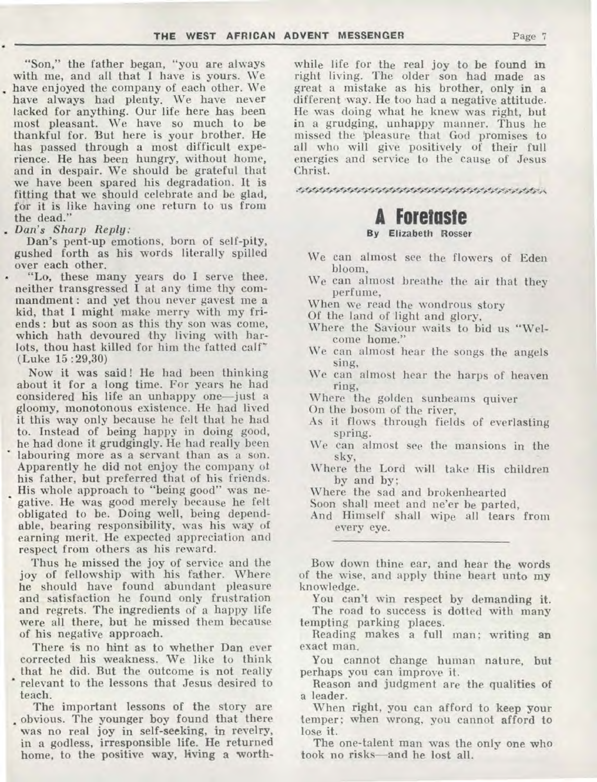"Son," the father began, "you are always with me, and all that I have is yours. We have enjoyed the company of each other. We have always had plenty. We have never lacked for anything. Our life here has been most pleasant. We have so much to be thankful for. But here is your brother. He has passed through a most difficult experience. He has been hungry, without home, and in despair. We should be grateful that we have been spared his degradation. It is fitting that we should celebrate and be glad, for it is like having one return to us from the dead."

*. Dan's sharp Reply:* 

Dan's pent-up emotions, born of self-pity, gushed forth as his words literally spilled over each other.

• "Lo, these many years do **I** serve thee. neither transgressed I at any time thy commandment : and yet thou never gayest me a kid, that I might make merry with my friends : but as soon as this thy son was come, which hath devoured thy living with harlots, thou hast killed for him the fatted calf' (Luke 15 :29,30)

Now it was said! He had been thinking about it for a long time. For years he had considered his life an unhappy one—just a gloomy, monotonous existence. He had lived it this way only because he felt that he had to. Instead of being happy in doing good, he had done it grudgingly. He had really been labouring more as a servant than as a son. Apparently he did not enjoy the company of his father, but preferred that of his friends. His whole approach to "being good" was negative. He was good merely because he felt obligated to be. Doing well, being dependable, bearing responsibility, was his way of earning merit. He expected appreciation and respect from others as his reward.

Thus he missed the joy of service and the joy of fellowship with his father. Where he should have found abundant pleasure and satisfaction he found only frustration and regrets. The ingredients of a happy life were all there, but he missed them because of his negative approach.

There is no hint as to whether Dan ever corrected his weakness. We like to think that he did. But the outcome is not really • relevant to the lessons that Jesus desired to teach.

The important lessons of the story are • obvious. The younger boy found that there was no real joy in self-seeking, in revelry, in a godless, irresponsible life. He returned home, to the positive way, living a worthwhile life for the real joy to be found in right living. The older son had made as great a mistake as his brother, only in a different may. He too had a negative attitude. He was doing what he knew was right, but in a grudging, unhappy manner. Thus he missed the 'pleasure that God promises to all who will give positively of their full energies and service to the cause of Jesus Christ.

• •

## **A Foretaste**

#### **By Elizabeth Rosser**

- We can almost see the flowers of Eden bloom,
- We can almost breathe the air that they perfume,
- When we read the wondrous story
- Of the land of 'light and glory,
- Where the Saviour waits to bid us "Welcome home."
- We can almost hear the songs the angels sing,
- We can almost hear the harps of heaven ring,
- Where the golden sunbeams quiver
- On the bosom of the river,
- As it flows through fields of everlasting spring.
- We can almost see the mansions in the sky,
- Where the Lord will take His children by and by;
- Where the sad and brokenhearted
- Soon shall meet and ne'er be parted,

And Himself shall wipe all tears from every eye.

Bow down thine ear, and hear the words of the wise, and apply thine heart unto my knowledge.

You can't win respect by demanding **it.**  The road to success is dotted with many tempting parking places.

Reading makes a full man; writing **an**  exact man.

You cannot change human nature, but perhaps you can improve it.

Reason and judgment are the qualities of a *leader.* 

When right, you can afford to keep your temper; when wrong, you cannot afford to lose it.

The one-talent man was the only one who took no risks—and he lost all.